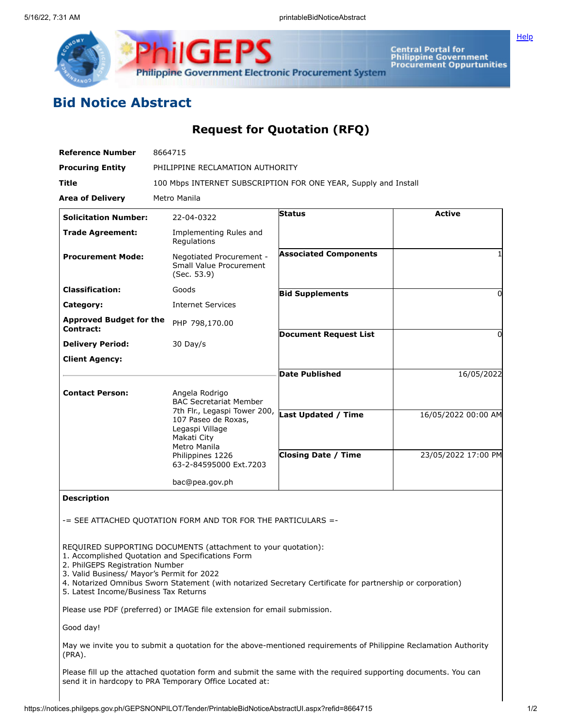

Central Portal for<br>Philippine Government<br>Procurement Oppurtunities

**[Help](javascript:void(window.open()** 

## **Bid Notice Abstract**

## **Request for Quotation (RFQ)**

| <b>Reference Number</b>                     | 8664715                                                                                               |                              |                     |  |  |  |
|---------------------------------------------|-------------------------------------------------------------------------------------------------------|------------------------------|---------------------|--|--|--|
| <b>Procuring Entity</b>                     | PHILIPPINE RECLAMATION AUTHORITY                                                                      |                              |                     |  |  |  |
| <b>Title</b>                                | 100 Mbps INTERNET SUBSCRIPTION FOR ONE YEAR, Supply and Install                                       |                              |                     |  |  |  |
| <b>Area of Delivery</b>                     | Metro Manila                                                                                          |                              |                     |  |  |  |
| <b>Solicitation Number:</b>                 | 22-04-0322                                                                                            | <b>Status</b>                | <b>Active</b>       |  |  |  |
| <b>Trade Agreement:</b>                     | Implementing Rules and<br>Regulations                                                                 |                              |                     |  |  |  |
| <b>Procurement Mode:</b>                    | Negotiated Procurement -<br>Small Value Procurement<br>(Sec. 53.9)                                    | <b>Associated Components</b> |                     |  |  |  |
| <b>Classification:</b>                      | Goods                                                                                                 | <b>Bid Supplements</b>       | 0                   |  |  |  |
| Category:                                   | <b>Internet Services</b>                                                                              |                              |                     |  |  |  |
| <b>Approved Budget for the</b><br>Contract: | PHP 798,170.00                                                                                        |                              |                     |  |  |  |
| <b>Delivery Period:</b>                     | $30$ Day/s                                                                                            | <b>Document Request List</b> | ŋ                   |  |  |  |
| <b>Client Agency:</b>                       |                                                                                                       |                              |                     |  |  |  |
|                                             |                                                                                                       | <b>Date Published</b>        | 16/05/2022          |  |  |  |
| <b>Contact Person:</b>                      | Angela Rodrigo<br><b>BAC Secretariat Member</b>                                                       |                              |                     |  |  |  |
|                                             | 7th Flr., Legaspi Tower 200,<br>107 Paseo de Roxas,<br>Legaspi Village<br>Makati City<br>Metro Manila | <b>Last Updated / Time</b>   | 16/05/2022 00:00 AM |  |  |  |
|                                             | Philippines 1226<br>63-2-84595000 Ext.7203                                                            | <b>Closing Date / Time</b>   | 23/05/2022 17:00 PM |  |  |  |
|                                             | bac@pea.gov.ph                                                                                        |                              |                     |  |  |  |

**Description**

-= SEE ATTACHED QUOTATION FORM AND TOR FOR THE PARTICULARS =-

REQUIRED SUPPORTING DOCUMENTS (attachment to your quotation):

- 1. Accomplished Quotation and Specifications Form
- 2. PhilGEPS Registration Number
- 3. Valid Business/ Mayor's Permit for 2022
- 4. Notarized Omnibus Sworn Statement (with notarized Secretary Certificate for partnership or corporation)

5. Latest Income/Business Tax Returns

Please use PDF (preferred) or IMAGE file extension for email submission.

Good day!

May we invite you to submit a quotation for the above-mentioned requirements of Philippine Reclamation Authority (PRA).

Please fill up the attached quotation form and submit the same with the required supporting documents. You can send it in hardcopy to PRA Temporary Office Located at: